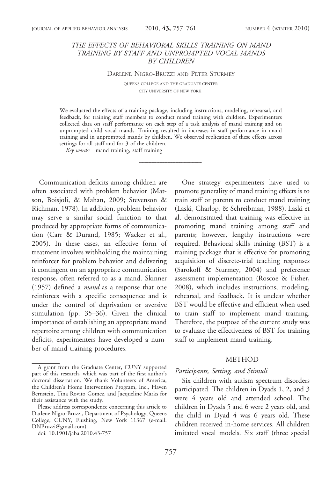## THE EFFECTS OF BEHAVIORAL SKILLS TRAINING ON MAND TRAINING BY STAFF AND UNPROMPTED VOCAL MANDS BY CHILDREN

DARLENE NIGRO-BRUZZI AND PETER STURMEY

QUEENS COLLEGE AND THE GRADUATE CENTER CITY UNIVERSITY OF NEW YORK

We evaluated the effects of a training package, including instructions, modeling, rehearsal, and feedback, for training staff members to conduct mand training with children. Experimenters collected data on staff performance on each step of a task analysis of mand training and on unprompted child vocal mands. Training resulted in increases in staff performance in mand training and in unprompted mands by children. We observed replication of these effects across settings for all staff and for 3 of the children.

Key words: mand training, staff training

Communication deficits among children are often associated with problem behavior (Matson, Boisjoli, & Mahan, 2009; Stevenson & Richman, 1978). In addition, problem behavior may serve a similar social function to that produced by appropriate forms of communication (Carr & Durand, 1985; Wacker et al., 2005). In these cases, an effective form of treatment involves withholding the maintaining reinforcer for problem behavior and delivering it contingent on an appropriate communication response, often referred to as a mand. Skinner (1957) defined a mand as a response that one reinforces with a specific consequence and is under the control of deprivation or aversive stimulation (pp. 35–36). Given the clinical importance of establishing an appropriate mand repertoire among children with communication deficits, experimenters have developed a number of mand training procedures.

One strategy experimenters have used to promote generality of mand training effects is to train staff or parents to conduct mand training (Laski, Charlop, & Schreibman, 1988). Laski et al. demonstrated that training was effective in promoting mand training among staff and parents; however, lengthy instructions were required. Behavioral skills training (BST) is a training package that is effective for promoting acquisition of discrete-trial teaching responses (Sarokoff & Sturmey, 2004) and preference assessment implementation (Roscoe & Fisher, 2008), which includes instructions, modeling, rehearsal, and feedback. It is unclear whether BST would be effective and efficient when used to train staff to implement mand training. Therefore, the purpose of the current study was to evaluate the effectiveness of BST for training staff to implement mand training.

## METHOD

#### Participants, Setting, and Stimuli

Six children with autism spectrum disorders participated. The children in Dyads 1, 2, and 3 were 4 years old and attended school. The children in Dyads 5 and 6 were 2 years old, and the child in Dyad 4 was 6 years old. These children received in-home services. All children imitated vocal models. Six staff (three special

A grant from the Graduate Center, CUNY supported part of this research, which was part of the first author's doctoral dissertation. We thank Volunteers of America, the Children's Home Intervention Program, Inc., Haven Bernstein, Tina Rovito Gomez, and Jacqueline Marks for their assistance with the study.

Please address correspondence concerning this article to Darlene Nigro-Bruzzi, Department of Psychology, Queens College, CUNY, Flushing, New York 11367 (e-mail: DNBruzzi@gmail.com).

doi: 10.1901/jaba.2010.43-757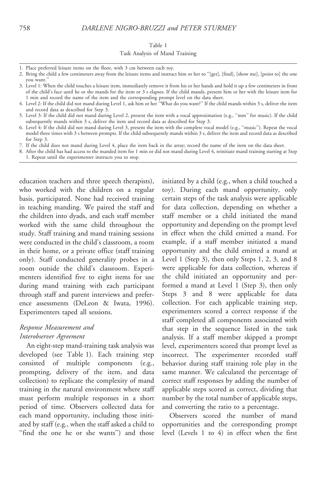#### Table 1

#### Task Analysis of Mand Training

- 2. Bring the child a few centimeters away from the leisure items and instruct him or her to ''[get], [find], [show me], [point to] the one you want.''
- 3. Level 1: When the child touches a leisure item, immediately remove it from his or her hands and hold it up a few centimeters in front of the child's face until he or she mands for the item or 3 s elapses. If the child mands, present him or her with the leisure item for 1 min and record the name of the item and the corresponding prompt level on the data sheet.
- 4. Level 2: If the child did not mand during Level 1, ask him or her ''What do you want?'' If the child mands within 3 s, deliver the item and record data as described for Step 3.
- 5. Level 3: If the child did not mand during Level 2, present the item with a vocal approximation (e.g., ''mm'' for music). If the child subsequently mands within 3 s, deliver the item and record data as described for Step 3.
- 6. Level 4: If the child did not mand during Level 3, present the item with the complete vocal model (e.g., ''music''). Repeat the vocal model three times with 3 s between prompts. If the child subsequently mands within 3 s, deliver the item and record data as described for Step 3.
- 7. If the child does not mand during Level 4, place the item back in the array; record the name of the item on the data sheet.
- 8. After the child has had access to the manded item for 1 min or did not mand during Level 4, reinitiate mand training starting at Step 1. Repeat until the experimenter instructs you to stop.

education teachers and three speech therapists), who worked with the children on a regular basis, participated. None had received training in teaching manding. We paired the staff and the children into dyads, and each staff member worked with the same child throughout the study. Staff training and mand training sessions were conducted in the child's classroom, a room in their home, or a private office (staff training only). Staff conducted generality probes in a room outside the child's classroom. Experimenters identified five to eight items for use during mand training with each participant through staff and parent interviews and preference assessments (DeLeon & Iwata, 1996). Experimenters taped all sessions.

# Response Measurement and Interobserver Agreement

An eight-step mand-training task analysis was developed (see Table 1). Each training step consisted of multiple components (e.g., prompting, delivery of the item, and data collection) to replicate the complexity of mand training in the natural environment where staff must perform multiple responses in a short period of time. Observers collected data for each mand opportunity, including those initiated by staff (e.g., when the staff asked a child to "find the one he or she wants") and those

initiated by a child (e.g., when a child touched a toy). During each mand opportunity, only certain steps of the task analysis were applicable for data collection, depending on whether a staff member or a child initiated the mand opportunity and depending on the prompt level in effect when the child emitted a mand. For example, if a staff member initiated a mand opportunity and the child emitted a mand at Level 1 (Step 3), then only Steps 1, 2, 3, and 8 were applicable for data collection, whereas if the child initiated an opportunity and performed a mand at Level 1 (Step 3), then only Steps 3 and 8 were applicable for data collection. For each applicable training step, experimenters scored a correct response if the staff completed all components associated with that step in the sequence listed in the task analysis. If a staff member skipped a prompt level, experimenters scored that prompt level as incorrect. The experimenter recorded staff behavior during staff training role play in the same manner. We calculated the percentage of correct staff responses by adding the number of applicable steps scored as correct, dividing that number by the total number of applicable steps, and converting the ratio to a percentage.

Observers scored the number of mand opportunities and the corresponding prompt level (Levels 1 to 4) in effect when the first

<sup>1.</sup> Place preferred leisure items on the floor, with 3 cm between each toy.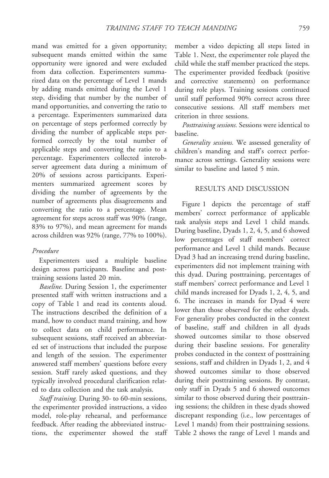mand was emitted for a given opportunity; subsequent mands emitted within the same opportunity were ignored and were excluded from data collection. Experimenters summarized data on the percentage of Level 1 mands by adding mands emitted during the Level 1 step, dividing that number by the number of mand opportunities, and converting the ratio to a percentage. Experimenters summarized data on percentage of steps performed correctly by dividing the number of applicable steps performed correctly by the total number of applicable steps and converting the ratio to a percentage. Experimenters collected interobserver agreement data during a minimum of 20% of sessions across participants. Experimenters summarized agreement scores by dividing the number of agreements by the number of agreements plus disagreements and converting the ratio to a percentage. Mean agreement for steps across staff was 90% (range, 83% to 97%), and mean agreement for mands across children was 92% (range, 77% to 100%).

### Procedure

Experimenters used a multiple baseline design across participants. Baseline and posttraining sessions lasted 20 min.

Baseline. During Session 1, the experimenter presented staff with written instructions and a copy of Table 1 and read its contents aloud. The instructions described the definition of a mand, how to conduct mand training, and how to collect data on child performance. In subsequent sessions, staff received an abbreviated set of instructions that included the purpose and length of the session. The experimenter answered staff members' questions before every session. Staff rarely asked questions, and they typically involved procedural clarification related to data collection and the task analysis.

Staff training. During 30- to 60-min sessions, the experimenter provided instructions, a video model, role-play rehearsal, and performance feedback. After reading the abbreviated instructions, the experimenter showed the staff

member a video depicting all steps listed in Table 1. Next, the experimenter role played the child while the staff member practiced the steps. The experimenter provided feedback (positive and corrective statements) on performance during role plays. Training sessions continued until staff performed 90% correct across three consecutive sessions. All staff members met criterion in three sessions.

Posttraining sessions. Sessions were identical to baseline.

Generality sessions. We assessed generality of children's manding and staff's correct performance across settings. Generality sessions were similar to baseline and lasted 5 min.

### RESULTS AND DISCUSSION

Figure 1 depicts the percentage of staff members' correct performance of applicable task analysis steps and Level 1 child mands. During baseline, Dyads 1, 2, 4, 5, and 6 showed low percentages of staff members' correct performance and Level 1 child mands. Because Dyad 3 had an increasing trend during baseline, experimenters did not implement training with this dyad. During posttraining, percentages of staff members' correct performance and Level 1 child mands increased for Dyads 1, 2, 4, 5, and 6. The increases in mands for Dyad 4 were lower than those observed for the other dyads. For generality probes conducted in the context of baseline, staff and children in all dyads showed outcomes similar to those observed during their baseline sessions. For generality probes conducted in the context of posttraining sessions, staff and children in Dyads 1, 2, and 4 showed outcomes similar to those observed during their posttraining sessions. By contrast, only staff in Dyads 5 and 6 showed outcomes similar to those observed during their posttraining sessions; the children in these dyads showed discrepant responding (i.e., low percentages of Level 1 mands) from their posttraining sessions. Table 2 shows the range of Level 1 mands and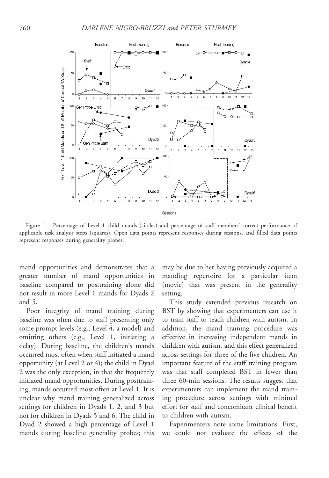

Figure 1. Percentage of Level 1 child mands (circles) and percentage of staff members' correct performance of applicable task analysis steps (squares). Open data points represent responses during sessions, and filled data points represent responses during generality probes.

mand opportunities and demonstrates that a greater number of mand opportunities in baseline compared to posttraining alone did not result in more Level 1 mands for Dyads 2 and 5.

Poor integrity of mand training during baseline was often due to staff presenting only some prompt levels (e.g., Level 4, a model) and omitting others (e.g., Level 1, initiating a delay). During baseline, the children's mands occurred most often when staff initiated a mand opportunity (at Level 2 or 4); the child in Dyad 2 was the only exception, in that she frequently initiated mand opportunities. During posttraining, mands occurred most often at Level 1. It is unclear why mand training generalized across settings for children in Dyads 1, 2, and 3 but not for children in Dyads 5 and 6. The child in Dyad 2 showed a high percentage of Level 1 mands during baseline generality probes; this

may be due to her having previously acquired a manding repertoire for a particular item (movie) that was present in the generality setting.

This study extended previous research on BST by showing that experimenters can use it to train staff to teach children with autism. In addition, the mand training procedure was effective in increasing independent mands in children with autism, and this effect generalized across settings for three of the five children. An important feature of the staff training program was that staff completed BST in fewer than three 60-min sessions. The results suggest that experimenters can implement the mand training procedure across settings with minimal effort for staff and concomitant clinical benefit to children with autism.

Experimenters note some limitations. First, we could not evaluate the effects of the